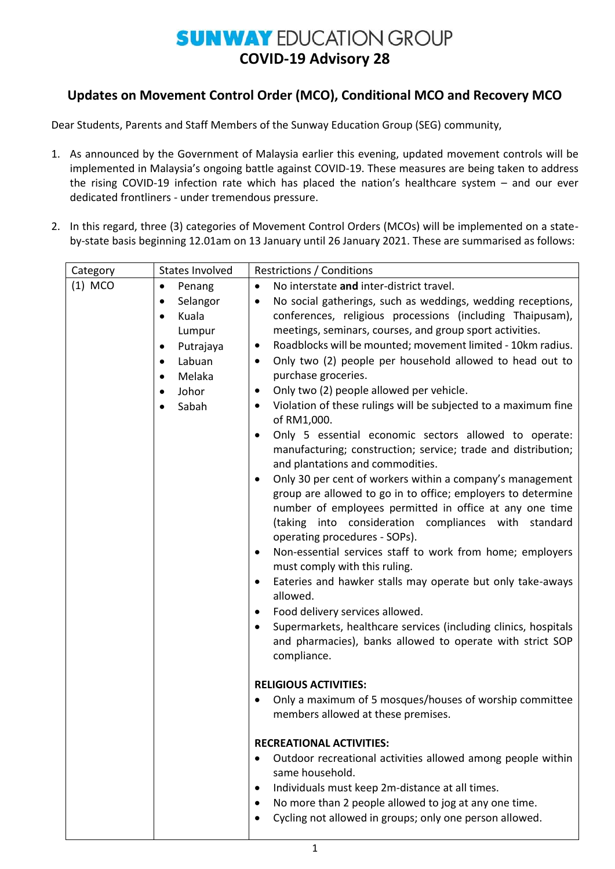## **SUNWAY EDUCATION GROUP COVID-19 Advisory 28**

## **Updates on Movement Control Order (MCO), Conditional MCO and Recovery MCO**

Dear Students, Parents and Staff Members of the Sunway Education Group (SEG) community,

- 1. As announced by the Government of Malaysia earlier this evening, updated movement controls will be implemented in Malaysia's ongoing battle against COVID-19. These measures are being taken to address the rising COVID-19 infection rate which has placed the nation's healthcare system – and our ever dedicated frontliners - under tremendous pressure.
- 2. In this regard, three (3) categories of Movement Control Orders (MCOs) will be implemented on a stateby-state basis beginning 12.01am on 13 January until 26 January 2021. These are summarised as follows:

| Category  | <b>States Involved</b>                                                                                                                                       | <b>Restrictions / Conditions</b>                                                                                                                                                                                                                                                                                                                                                                                                                                                                                                                                                                                                                                                                                                                                                                                                                                                                                                                                                                                                                                                                                                                                                                                                                                                                                                                                                                    |
|-----------|--------------------------------------------------------------------------------------------------------------------------------------------------------------|-----------------------------------------------------------------------------------------------------------------------------------------------------------------------------------------------------------------------------------------------------------------------------------------------------------------------------------------------------------------------------------------------------------------------------------------------------------------------------------------------------------------------------------------------------------------------------------------------------------------------------------------------------------------------------------------------------------------------------------------------------------------------------------------------------------------------------------------------------------------------------------------------------------------------------------------------------------------------------------------------------------------------------------------------------------------------------------------------------------------------------------------------------------------------------------------------------------------------------------------------------------------------------------------------------------------------------------------------------------------------------------------------------|
| $(1)$ MCO | Penang<br>$\bullet$                                                                                                                                          | No interstate and inter-district travel.<br>$\bullet$                                                                                                                                                                                                                                                                                                                                                                                                                                                                                                                                                                                                                                                                                                                                                                                                                                                                                                                                                                                                                                                                                                                                                                                                                                                                                                                                               |
|           | Selangor<br>$\bullet$<br>Kuala<br>$\bullet$<br>Lumpur<br>Putrajaya<br>$\bullet$<br>Labuan<br>$\bullet$<br>Melaka<br>$\bullet$<br>Johor<br>$\bullet$<br>Sabah | No social gatherings, such as weddings, wedding receptions,<br>$\bullet$<br>conferences, religious processions (including Thaipusam),<br>meetings, seminars, courses, and group sport activities.<br>Roadblocks will be mounted; movement limited - 10km radius.<br>$\bullet$<br>Only two (2) people per household allowed to head out to<br>$\bullet$<br>purchase groceries.<br>Only two (2) people allowed per vehicle.<br>٠<br>Violation of these rulings will be subjected to a maximum fine<br>$\bullet$<br>of RM1,000.<br>Only 5 essential economic sectors allowed to operate:<br>$\bullet$<br>manufacturing; construction; service; trade and distribution;<br>and plantations and commodities.<br>Only 30 per cent of workers within a company's management<br>$\bullet$<br>group are allowed to go in to office; employers to determine<br>number of employees permitted in office at any one time<br>(taking into consideration compliances with standard<br>operating procedures - SOPs).<br>Non-essential services staff to work from home; employers<br>٠<br>must comply with this ruling.<br>Eateries and hawker stalls may operate but only take-aways<br>$\bullet$<br>allowed.<br>Food delivery services allowed.<br>$\bullet$<br>Supermarkets, healthcare services (including clinics, hospitals<br>٠<br>and pharmacies), banks allowed to operate with strict SOP<br>compliance. |
|           |                                                                                                                                                              | <b>RELIGIOUS ACTIVITIES:</b><br>Only a maximum of 5 mosques/houses of worship committee<br>٠<br>members allowed at these premises.<br><b>RECREATIONAL ACTIVITIES:</b><br>Outdoor recreational activities allowed among people within<br>$\bullet$<br>same household.<br>Individuals must keep 2m-distance at all times.<br>٠<br>No more than 2 people allowed to jog at any one time.<br>Cycling not allowed in groups; only one person allowed.                                                                                                                                                                                                                                                                                                                                                                                                                                                                                                                                                                                                                                                                                                                                                                                                                                                                                                                                                    |